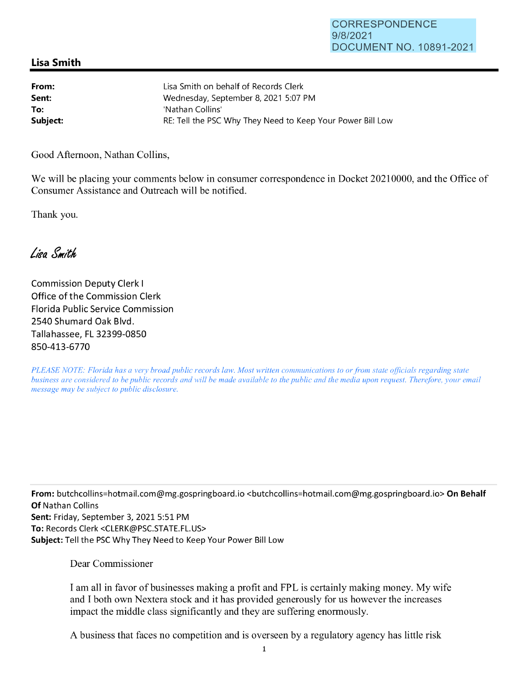## **Lisa Smith**

| From:    | Lisa Smith on behalf of Records Clerk                      |
|----------|------------------------------------------------------------|
| Sent:    | Wednesday, September 8, 2021 5:07 PM                       |
| To:      | 'Nathan Collins'                                           |
| Subject: | RE: Tell the PSC Why They Need to Keep Your Power Bill Low |

Good Afternoon, Nathan Collins,

We will be placing your comments below in consumer correspondence in Docket 20210000, and the Office of Consumer Assistance and Outreach will be notified.

Thank you.

Lien Smith

Commission Deputy Clerk I Office of the Commission Clerk Florida Public Service Commission 2540 Shumard Oak Blvd. Tallahassee, FL 32399-0850 850-413-6770

*PLEASE NOTE: Florida has a very broad public records law. Most written communications to or from state officials regarding state business are considered to be public records and will be made available to the public and the media upon request. Therefore, your email message may be subject to public disclosure.* 

**From:** butchcollins=hotmail.com@mg.gospringboard.io <butchcollins=hotmail.com@mg.gospringboard.io> **On Behalf Of** Nathan Collins **Sent:** Friday, September 3, 2021 5:51 PM **To:** Records Clerk <CLERK@PSC.STATE.FL.US> **Subject:** Tell the PSC Why They Need to Keep Your Power Bill Low

Dear Commissioner

I am all in favor of businesses making a profit and FPL is certainly making money. My wife and I both own Nextera stock and it has provided generously for us however the increases impact the middle class significantly and they are suffering enormously.

A business that faces no competition and is overseen by a regulatory agency has little risk